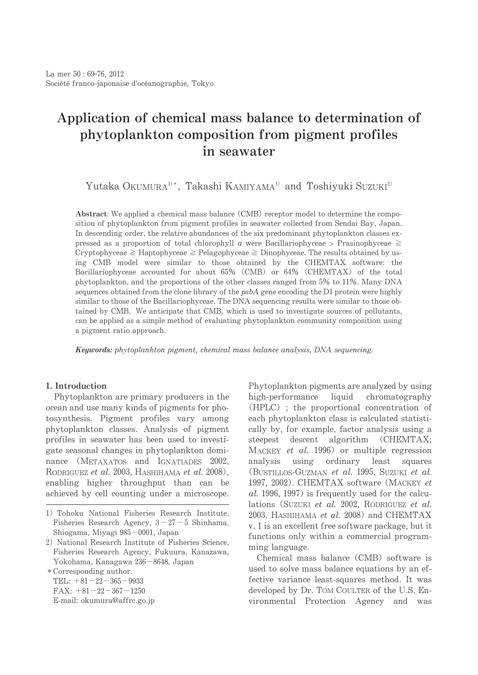# Application of chemical mass balance to determination of phytoplankton composition from pigment profiles in seawater

Yutaka OKUMURA<sup>1)\*</sup>, Takashi KAMIYAMA<sup>1)</sup> and Toshiyuki SUZUKI<sup>2)</sup>

Abstract: We applied a chemical mass balance (CMB) receptor model to determine the composition of phytoplankton from pigment profiles in seawater collected from Sendai Bay, Japan. In descending order, the relative abundances of the six predominant phytoplankton classes expressed as a proportion of total chlorophyll a were Bacillariophyceae > Prasinophyceae  $\geq$ Cryptophyceae  $\geq$  Haptophyceae  $\geq$  Pelagophyceae  $\geq$  Dinophyceae. The results obtained by using CMB model were similar to those obtained by the CHEMTAX software: the Bacillariophyceae accounted for about 65% (CMB) or 64% (CHEMTAX) of the total phytoplankton, and the proportions of the other classes ranged from 5% to 11%. Many DNA sequences obtained from the clone library of the psbA gene encoding the D1 protein were highly similar to those of the Bacillariophyceae. The DNA sequencing results were similar to those obtained by CMB. We anticipate that CMB, which is used to investigate sources of pollutants, can be applied as a simple method of evaluating phytoplankton community composition using a pigment ratio approach.

Keywords: phytoplankton pigment, chemical mass balance analysis, DNA sequencing.

#### 1. Introduction

Phytoplankton are primary producers in the ocean and use many kinds of pigments for photosynthesis. Pigment profiles vary among phytoplankton classes. Analysis of pigment profiles in seawater has been used to investigate seasonal changes in phytoplankton dominance (METAXATOS and IGNATIADES 2002, RODRIGUEZ et al. 2003, HASHIHAMA et al. 2008), enabling higher throughput than can be achieved by cell counting under a microscope.

\* Corresponding author.

 $FAX: +81 - 22 - 367 - 1250$ 

E-mail: okumura@affrc.go.jp

Phytoplankton pigments are analyzed by using high-performance liquid chromatography (HPLC) ; the proportional concentration of each phytoplankton class is calculated statistically by, for example, factor analysis using a steepest descent algorithm (CHEMTAX; MACKEY et al. 1996) or multiple regression using ordinary least squares analysis (BUSTILLOS-GUZMAN et al. 1995, SUZUKI et al. 1997, 2002). CHEMTAX software (MACKEY et al. 1996, 1997) is frequently used for the calculations (SUZUKI et al. 2002, RODRIGUEZ et al. 2003. HASHIHAMA et al. 2008) and CHEMTAX v. 1 is an excellent free software package, but it functions only within a commercial programming language.

Chemical mass balance (CMB) software is used to solve mass balance equations by an effective variance least-squares method. It was developed by Dr. TOM COULTER of the U.S. Environmental Protection Agency and was

<sup>1)</sup> Tohoku National Fisheries Research Institute, Fisheries Research Agency,  $3 - 27 - 5$  Shinhama, Shiogama, Miyagi 985-0001, Japan

<sup>2)</sup> National Research Institute of Fisheries Science. Fisheries Research Agency, Fukuura, Kanazawa, Yokohama, Kanagawa 236 – 8648, Japan

TEL:  $+81-22-365-9933$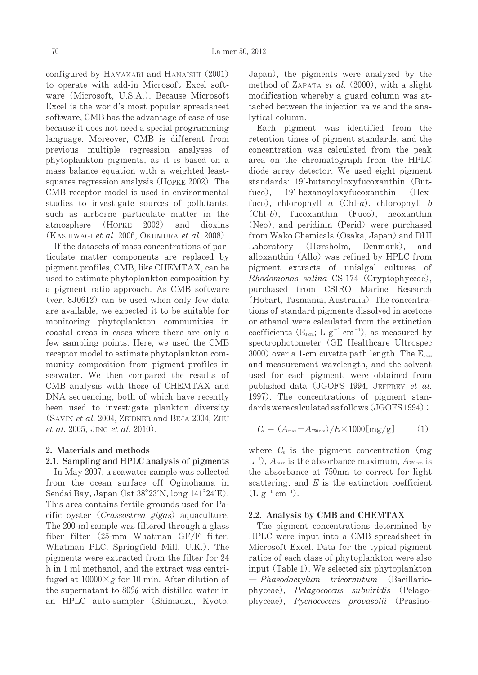configured by HAYAKARI and HANAISHI (2001) to operate with add-in Microsoft Excel software (Microsoft, U.S.A.). Because Microsoft Excel is the world's most popular spreadsheet software, CMB has the advantage of ease of use because it does not need a special programming language. Moreover, CMB is different from previous multiple regression analyses of phytoplankton pigments, as it is based on a mass balance equation with a weighted leastsquares regression analysis (HOPKE 2002). The CMB receptor model is used in environmental studies to investigate sources of pollutants, such as airborne particulate matter in the atmosphere (HOPKE 2002) and dioxins (KASHIWAGI et al. 2006, OKUMURA et al. 2008).

If the datasets of mass concentrations of particulate matter components are replaced by pigment profiles, CMB, like CHEMTAX, can be used to estimate phytoplankton composition by a pigment ratio approach. As CMB software (ver.  $8J0612$ ) can be used when only few data are available, we expected it to be suitable for monitoring phytoplankton communities in coastal areas in cases where there are only a few sampling points. Here, we used the CMB receptor model to estimate phytoplankton community composition from pigment profiles in seawater. We then compared the results of CMB analysis with those of CHEMTAX and DNA sequencing, both of which have recently been used to investigate plankton diversity (SAVIN et al. 2004, ZEIDNER and BEJA 2004, ZHU et al. 2005, JING et al. 2010).

### 2. Materials and methods

#### 2.1. Sampling and HPLC analysis of pigments

In May 2007, a seawater sample was collected from the ocean surface off Oginohama in Sendai Bay, Japan (lat 38°23'N, long 141°24'E). This area contains fertile grounds used for Pacific oyster (*Crassostrea gigas*) aquaculture. The 200-ml sample was filtered through a glass fiber filter (25-mm Whatman GF/F filter, Whatman PLC, Springfield Mill, U.K.). The pigments were extracted from the filter for 24 h in 1 ml methanol, and the extract was centrifuged at  $10000 \times g$  for 10 min. After dilution of the supernatant to 80% with distilled water in an HPLC auto-sampler (Shimadzu, Kyoto,

Japan), the pigments were analyzed by the method of ZAPATA *et al.*  $(2000)$ , with a slight modification whereby a guard column was attached between the injection valve and the analytical column.

Each pigment was identified from the retention times of pigment standards, and the concentration was calculated from the peak area on the chromatograph from the HPLC diode array detector. We used eight pigment standards: 19'-butanoyloxyfucoxanthin (Butfuco), 19'-hexanoyloxyfucoxanthin (Hexfuco), chlorophyll  $a$  (Chl-a), chlorophyll  $b$ (Chl-b), fucoxanthin (Fuco), neoxanthin (Neo), and peridinin (Perid) were purchased from Wako Chemicals (Osaka, Japan) and DHI Laboratory (Hørsholm, Denmark), and alloxanthin (Allo) was refined by HPLC from pigment extracts of unialgal cultures of Rhodomonas salina CS-174 (Cryptophyceae), purchased from CSIRO Marine Research (Hobart, Tasmania, Australia). The concentrations of standard pigments dissolved in acetone or ethanol were calculated from the extinction coefficients  $(E_{1cm}; L g^{-1} cm^{-1})$ , as measured by spectrophotometer (GE Healthcare Ultrospec 3000) over a 1-cm cuvette path length. The  $E_{1cm}$ and measurement wavelength, and the solvent used for each pigment, were obtained from published data (JGOFS 1994, JEFFREY et al. 1997). The concentrations of pigment standards were calculated as follows (JGOFS1994):

$$
C_{\rm s} = (A_{\rm max} - A_{750 \,\rm nm})/E \times 1000 \,[{\rm mg/g}] \tag{1}
$$

where  $C_s$  is the pigment concentration (mg  $L^{-1}$ ,  $A_{\text{max}}$  is the absorbance maximum,  $A_{750 \text{ nm}}$  is the absorbance at 750nm to correct for light scattering, and  $E$  is the extinction coefficient  $(L g^{-1} cm^{-1}).$ 

#### 2.2. Analysis by CMB and CHEMTAX

The pigment concentrations determined by HPLC were input into a CMB spreadsheet in Microsoft Excel. Data for the typical pigment ratios of each class of phytoplankton were also input (Table 1). We selected six phytoplankton ― Phaeodactylum tricornutum (Bacillariophyceae), Pelagococcus subviridis (Pelagophyceae), Pycnococcus provasolii(Prasino-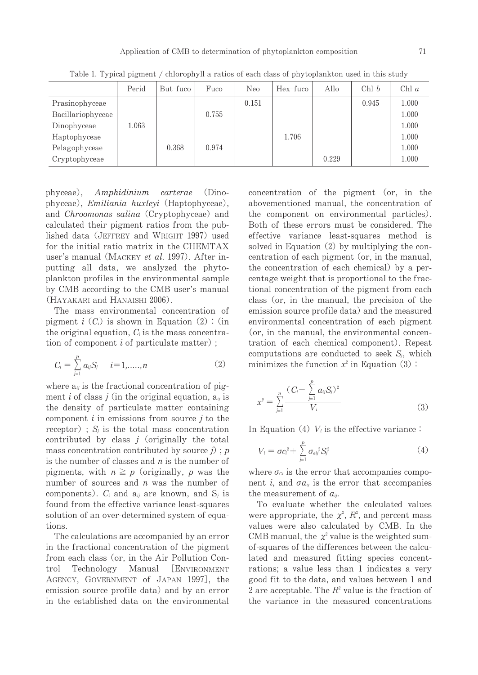|                   | Perid     | But-fuco | Fuco  | Neo   | Hex-fuco | Allo  | Chl b | Chl $a$ |
|-------------------|-----------|----------|-------|-------|----------|-------|-------|---------|
| Prasinophyceae    |           |          |       | 0.151 |          |       | 0.945 | 1.000   |
| Bacillariophyceae |           |          | 0.755 |       |          |       |       | 1.000   |
| Dinophyceae       | $1.063\,$ |          |       |       |          |       |       | 1.000   |
| Haptophyceae      |           |          |       |       | 1.706    |       |       | 1.000   |
| Pelagophyceae     |           | 0.368    | 0.974 |       |          |       |       | 1.000   |
| Cryptophyceae     |           |          |       |       |          | 0.229 |       | 1.000   |

Table 1. Typical pigment / chlorophyll a ratios of each class of phytoplankton used in this study

phyceae), Amphidinium carterae (Dinophyceae), Emiliania huxleyi (Haptophyceae), and Chroomonas salina (Cryptophyceae) and calculated their pigment ratios from the published data (JEFFREY and WRIGHT 1997) used for the initial ratio matrix in the CHEMTAX user's manual (MACKEY et al. 1997). After inputting all data, we analyzed the phytoplankton profiles in the environmental sample by CMB according to the CMB user's manual (HAYAKARI and HANAISHI 2006).

The mass environmental concentration of pigment  $i(C_i)$  is shown in Equation (2): (in the original equation,  $C_i$  is the mass concentration of component  $i$  of particulate matter);

$$
C_i = \sum_{j=1}^p a_{ij} S_j \qquad i = 1, \dots, n \tag{2}
$$

where  $a_{ij}$  is the fractional concentration of pigment i of class j (in the original equation,  $a_{ii}$  is the density of particulate matter containing component  $i$  in emissions from source  $j$  to the receptor);  $S_i$  is the total mass concentration contributed by class  $j$  (originally the total mass concentration contributed by source  $j$ ; p is the number of classes and  $n$  is the number of pigments, with  $n \geq p$  (originally, p was the number of sources and  $n$  was the number of components).  $C_i$  and  $a_{ii}$  are known, and  $S_i$  is found from the effective variance least-squares solution of an over-determined system of equations.

The calculations are accompanied by an error in the fractional concentration of the pigment from each class (or, in the Air Pollution Control Technology Manual [ENVIRONMENT AGENCY, GOVERNMENT of JAPAN 1997], the emission source profile data) and by an error in the established data on the environmental

concentration of the pigment (or, in the abovementioned manual, the concentration of the component on environmental particles). Both of these errors must be considered. The effective variance least-squares method is solved in Equation  $(2)$  by multiplying the concentration of each pigment (or, in the manual, the concentration of each chemical) by a percentage weight that is proportional to the fractional concentration of the pigment from each class (or, in the manual, the precision of the emission source profile data) and the measured environmental concentration of each pigment  $($ or, in the manual, the environmental concentration of each chemical component). Repeat computations are conducted to seek  $S_i$ , which minimizes the function  $x^2$  in Equation (3):

$$
x^{2} = \sum_{j=1}^{n} \frac{(C_{i} - \sum_{j=1}^{p} a_{ij} S_{j})^{2}}{V_{i}}
$$
(3)

In Equation (4)  $V_i$  is the effective variance:

$$
V_i = \sigma c_i^2 + \sum_{j=1}^P \sigma_{aij}^2 S_j^2 \tag{4}
$$

where  $\sigma_{Ci}$  is the error that accompanies component i, and  $\sigma a_{ij}$  is the error that accompanies the measurement of  $a_{ii}$ .

To evaluate whether the calculated values were appropriate, the  $\chi^2$ ,  $R^2$ , and percent mass values were also calculated by CMB. In the CMB manual, the  $\chi^2$  value is the weighted sumof-squares of the differences between the calculated and measured fitting species concentrations; a value less than 1 indicates a very good fit to the data, and values between 1 and 2 are acceptable. The  $R^2$  value is the fraction of the variance in the measured concentrations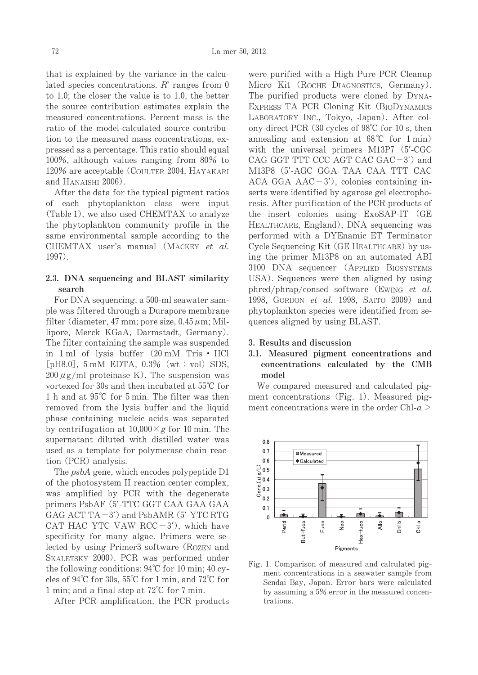that is explained by the variance in the calculated species concentrations,  $R^2$  ranges from 0 to 1.0; the closer the value is to 1.0, the better the source contribution estimates explain the measured concentrations. Percent mass is the ratio of the model-calculated source contribution to the measured mass concentrations, expressed as a percentage. This ratio should equal 100%, although values ranging from 80% to 120% are acceptable (COULTER 2004, HAYAKARI and HANAISHI 2006).

After the data for the typical pigment ratios of each phytoplankton class were input (Table 1), we also used CHEMTAX to analyze the phytoplankton community profile in the same environmental sample according to the CHEMTAX user's manual (MACKEY et al.  $1997$ .

## 2.3. DNA sequencing and BLAST similarity search

For DNA sequencing, a 500-ml seawater sample was filtered through a Durapore membrane filter (diameter, 47 mm; pore size,  $0.45 \mu$ m; Millipore, Merck KGaA, Darmstadt, Germany). The filter containing the sample was suspended in 1 ml of lysis buffer (20 mM Tris • HCl [pH8.0],  $5 \text{ mM}$  EDTA,  $0.3\%$  (wt : vol) SDS,  $200 \mu$ g/ml proteinase K). The suspension was vortexed for 30s and then incubated at 55°C for 1 h and at 95°C for 5 min. The filter was then removed from the lysis buffer and the liquid phase containing nucleic acids was separated by centrifugation at  $10,000 \times g$  for 10 min. The supernatant diluted with distilled water was used as a template for polymerase chain reaction (PCR) analysis.

The *psbA* gene, which encodes polypeptide D1 of the photosystem II reaction center complex, was amplified by PCR with the degenerate primers PsbAF (5'-TTC GGT CAA GAA GAA  $GAG$  ACT  $TA-3'$  and  $PsbAMR$  (5'-YTC RTG CAT HAC YTC VAW RCC $-3'$ ), which have specificity for many algae. Primers were selected by using Primer3 software (ROZEN and SKALETSKY 2000). PCR was performed under the following conditions:  $94^{\circ}$ C for 10 min; 40 cycles of 94°C for 30s, 55°C for 1 min, and 72°C for 1 min; and a final step at 72°C for 7 min.

After PCR amplification, the PCR products

were purified with a High Pure PCR Cleanup Micro Kit (ROCHE DIAGNOSTICS, Germany). The purified products were cloned by DYNA-EXPRESS TA PCR Cloning Kit (BIODYNAMICS LABORATORY INC., Tokyo, Japan). After colony-direct PCR (30 cycles of 98°C for 10 s, then annealing and extension at  $68^{\circ}$ C for 1 min) with the universal primers M13P7 (5'-CGC CAG GGT TTT CCC AGT CAC GAC $-3'$  and M13P8 (5'-AGC GGA TAA CAA TTT CAC ACA GGA  $AAC-3'$ , colonies containing inserts were identified by agarose gel electrophoresis. After purification of the PCR products of the insert colonies using ExoSAP-IT (GE HEALTHCARE, England), DNA sequencing was performed with a DYEnamic ET Terminator Cycle Sequencing Kit (GE HEALTHCARE) by using the primer M13P8 on an automated ABI 3100 DNA sequencer (APPLIED BIOSYSTEMS USA). Sequences were then aligned by using phred/phrap/consed software (EWING et al. 1998, GORDON et al. 1998, SAITO 2009) and phytoplankton species were identified from sequences aligned by using BLAST.

#### 3. Results and discussion

# 3.1. Measured pigment concentrations and concentrations calculated by the CMB model

We compared measured and calculated pigment concentrations (Fig. 1). Measured pigment concentrations were in the order Chl- $a >$ 



Fig. 1. Comparison of measured and calculated pigment concentrations in a seawater sample from Sendai Bay, Japan. Error bars were calculated by assuming a 5% error in the measured concentrations.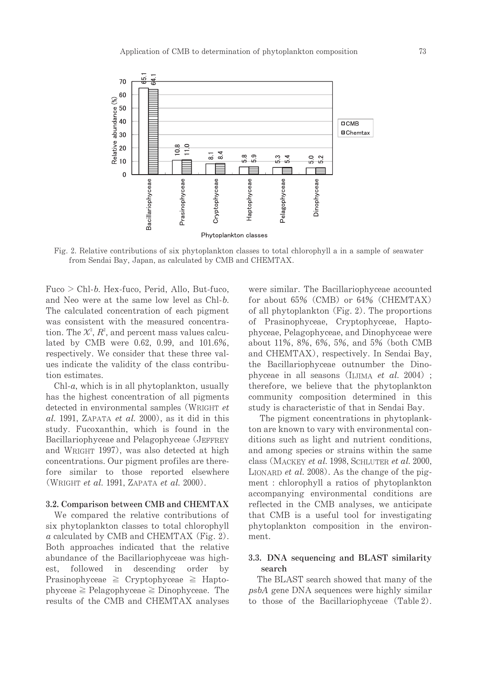

Fig. 2. Relative contributions of six phytoplankton classes to total chlorophyll a in a sample of seawater from Sendai Bay, Japan, as calculated by CMB and CHEMTAX.

 $Fucc > Chl-b$ . Hex-fuco, Perid, Allo, But-fuco, and Neo were at the same low level as Chl-b. The calculated concentration of each pigment was consistent with the measured concentration. The  $\mathcal{X}^2$ ,  $R^2$ , and percent mass values calculated by CMB were 0.62, 0.99, and 101.6%, respectively. We consider that these three values indicate the validity of the class contribution estimates.

Chl- $a$ , which is in all phytoplankton, usually has the highest concentration of all pigments detected in environmental samples (WRIGHT et al. 1991, ZAPATA et al. 2000), as it did in this study. Fucoxanthin, which is found in the Bacillariophyceae and Pelagophyceae (JEFFREY and WRIGHT 1997), was also detected at high concentrations. Our pigment profiles are therefore similar to those reported elsewhere (WRIGHT et al. 1991, ZAPATA et al. 2000).

#### 3.2. Comparison between CMB and CHEMTAX

We compared the relative contributions of six phytoplankton classes to total chlorophyll  $a$  calculated by CMB and CHEMTAX (Fig. 2). Both approaches indicated that the relative abundance of the Bacillariophyceae was highest. followed in descending order  $hv$ Prasinophyceae  $\geq$  Cryptophyceae  $\geq$  Haptophyceae  $\geq$  Pelagophyceae  $\geq$  Dinophyceae. The results of the CMB and CHEMTAX analyses were similar. The Bacillariophyceae accounted for about 65% (CMB) or 64% (CHEMTAX) of all phytoplankton (Fig. 2). The proportions of Prasinophyceae, Cryptophyceae, Haptophyceae, Pelagophyceae, and Dinophyceae were about 11%, 8%, 6%, 5%, and 5% (both CMB and CHEMTAX), respectively. In Sendai Bay, the Bacillariophyceae outnumber the Dinophyceae in all seasons (ILIMA *et al.* 2004) : therefore, we believe that the phytoplankton community composition determined in this study is characteristic of that in Sendai Bay.

The pigment concentrations in phytoplankton are known to vary with environmental conditions such as light and nutrient conditions, and among species or strains within the same class (MACKEY et al. 1998, SCHLUTER et al. 2000, LIONARD et al. 2008). As the change of the pigment: chlorophyll a ratios of phytoplankton accompanying environmental conditions are reflected in the CMB analyses, we anticipate that CMB is a useful tool for investigating phytoplankton composition in the environment.

### 3.3. DNA sequencing and BLAST similarity search

The BLAST search showed that many of the psbA gene DNA sequences were highly similar to those of the Bacillariophyceae (Table 2).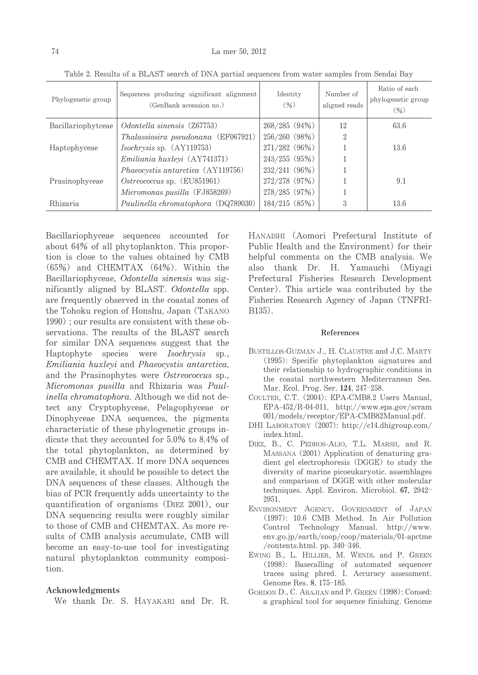| Phylogenetic group | Sequences producing significant alignment<br>(GenBank accession no.) | Identity<br>(96) | Number of<br>aligned reads | Ratio of each<br>phylogenetic group<br>(96) |
|--------------------|----------------------------------------------------------------------|------------------|----------------------------|---------------------------------------------|
| Bacillariophytceae | Odontella sinensis (Z67753)                                          | 268/285(94%)     | 12                         | 63.6                                        |
|                    | Thalassiosira pseudonana (EF067921)                                  | 256/260(98%)     | $\mathfrak{D}$             |                                             |
| Haptophyceae       | <i>Isochrysis</i> sp. (AY119753)                                     | 271/282 (96%)    |                            | 13.6                                        |
|                    | Emiliania huxleyi (AY741371)                                         | $243/255$ (95%)  |                            |                                             |
|                    | <i>Phaeocystis antarctica</i> (AY119756)                             | 232/241(96%)     |                            |                                             |
| Prasinophyceae     | Ostreococcus sp. (EU851961)                                          | 272/278 (97%)    |                            | 9.1                                         |
|                    | Micromonas pusilla (FJ858269)                                        | 278/285 (97%)    |                            |                                             |
| Rhizaria           | Paulinella chromatophora (DQ789030)                                  | 184/215(85%)     | 3                          | 13.6                                        |

Table 2. Results of a BLAST search of DNA partial sequences from water samples from Sendai Bay

Bacillariophyceae sequences accounted for about  $64\%$  of all phytoplankton. This proportion is close to the values obtained by CMB  $(65%)$  and CHEMTAX  $(64%)$ . Within the Bacillariophyceae, Odontella sinensis was significantly aligned by BLAST. Odontella spp. are frequently observed in the coastal zones of the Tohoku region of Honshu, Japan (TAKANO 1990); our results are consistent with these observations. The results of the BLAST search for similar DNA sequences suggest that the Haptophyte species were Isochrysis sp., Emiliania huxleyi and Phaeocystis antarctica, and the Prasinophytes were Ostreococcus sp., Micromonas pusilla and Rhizaria was Paulinella chromatophora. Although we did not detect any Cryptophyceae, Pelagophyceae or Dinophyceae DNA sequences, the pigments characteristic of these phylogenetic groups indicate that they accounted for  $5.0\%$  to  $8.4\%$  of the total phytoplankton, as determined by CMB and CHEMTAX. If more DNA sequences are available, it should be possible to detect the DNA sequences of these classes. Although the bias of PCR frequently adds uncertainty to the quantification of organisms (DIEZ 2001), our DNA sequencing results were roughly similar to those of CMB and CHEMTAX. As more results of CMB analysis accumulate, CMB will become an easy-to-use tool for investigating natural phytoplankton community composition.

### Acknowledgments

We thank Dr. S. HAYAKARI and Dr. R.

HANAISHI (Aomori Prefectural Institute of Public Health and the Environment) for their helpful comments on the CMB analysis. We also thank Dr. H. Yamauchi(Miyagi Prefectural Fisheries Research Development Center). This article was contributed by the Fisheries Research Agency of Japan (TNFRI-B135).

#### References

- BUSTILLOS-GUZMÁN J., H. CLAUSTRE and J.C. MARTY  $(1995)$ : Specific phytoplankton signatures and their relationship to hydrographic conditions in the coastal northwestern Mediterranean Sea. Mar. Ecol. Prog. Ser. 124, 247–258.
- COULTER, C.T. (2004): EPA-CMB8.2 Users Manual, EPA-452/R-04-011, http://www.epa.gov/scram 001/models/receptor/EPA-CMB82Manual.pdf.
- DHI LABORATORY (2007): http://c14.dhigroup.com/ index.html.
- DIEZ, B., C. PEDROS-ALIO, T.L. MARSH, and R. MASSANA (2001) Application of denaturing gradient gel electrophoresis (DGGE) to study the diversity of marine picoeukaryotic. assemblages and comparison of DGGE with other molecular techniques. Appl. Environ. Microbiol. 67, 2942-2951.
- ENVIRONMENT AGENCY, GOVERNMENT of JAPAN (1997):10.6 CMB Method.In Air Pollution Control Technology Manual. http://www. env.go.jp/earth/coop/coop/materials/01-apctme /contents.html.pp.340-346.
- EWING B., L. HILLIER, M. WENDL and P. GREEN (1998): Basecalling of automated sequencer traces using phred. I. Accuracy assessment. Genome Res. 8, 175–185.
- GORDON D., C. ABAJIAN and P. GREEN (1998): Consed: a graphical tool for sequence finishing. Genome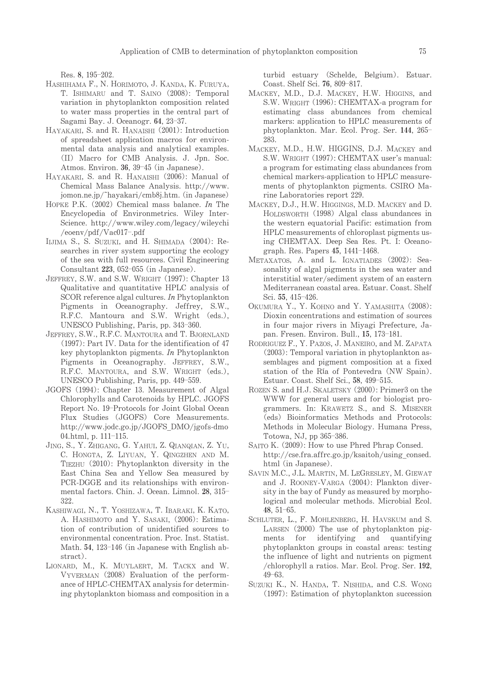Res.8,195-202.

- HASHIHAMA F., N. HORIMOTO, J. KANDA, K. FURUYA, T. ISHIMARU and T. SAINO (2008): Temporal variation in phytoplankton composition related to water mass properties in the central part of Sagami Bay. J. Oceanogr. 64, 23–37.
- HAYAKARI, S. and R. HANAISHI (2001): Introduction of spreadsheet application macros for environmental data analysis and analytical examples. (II) Macro for CMB Analysis. J. Jpn. Soc. Atmos.Environ.36,39-45(inJapanese).
- HAYAKARI, S. and R. HANAISHI (2006): Manual of Chemical Mass Balance Analysis. http://www. jomon.ne.jp/~hayakari/cmb8j.htm.(inJapanese)
- HOPKE P.K. (2002) Chemical mass balance. In The Encyclopedia of Environmetrics. Wiley Inter-Science.http://www.wiley.com/legacy/wileychi /eoenv/pdf/Vac017-.pdf
- IIJIMA S., S. SUZUKI, and H. SHIMADA (2004): Researches in river system supporting the ecology of the sea with full resources. Civil Engineering Consultant 223, 052-055 (in Japanese).
- JEFFREY, S.W. and S.W. WRIGHT (1997): Chapter 13 Qualitative and quantitative HPLC analysis of SCOR reference algal cultures. In Phytoplankton Pigments in Oceanography. Jeffrey, S.W., R.F.C. Mantoura and S.W. Wright (eds.), UNESCO Publishing, Paris, pp. 343–360.
- JEFFREY, S.W., R.F.C. MANTOURA and T. BJORNLAND  $(1997)$ : Part IV. Data for the identification of 47 key phytoplankton pigments. In Phytoplankton Pigments in Oceanography. JEFFREY, S.W., R.F.C. MANTOURA, and S.W. WRIGHT (eds.), UNESCO Publishing, Paris, pp. 449–559.
- JGOFS (1994): Chapter 13. Measurement of Algal Chlorophylls and Carotenoids by HPLC. JGOFS Report No. 19-Protocols for Joint Global Ocean Flux Studies (JGOFS) Core Measurements. http://www.jodc.go.jp/JGOFS\_DMO/jgofs-dmo 04.html, p. 111–115.
- JING,S.,Y.ZHIGANG,G.YAHUI,Z.QIANQIAN,Z.YU, C. HONGTA, Z. LIYUAN, Y. QINGZHEN AND M. TIEZHU (2010): Phytoplankton diversity in the East China Sea and Yellow Sea measured by PCR-DGGE and its relationships with environmental factors. Chin. J. Ocean. Limnol. 28, 315-322.
- KASHIWAGI, N., T. YOSHIZAWA, T. IBARAKI, K. KATO, A. HASHIMOTO and Y. SASAKI, (2006): Estimation of contribution of unidentified sources to environmental concentration. Proc. Inst. Statist. Math. 54, 123-146 (in Japanese with English abstract).
- LIONARD, M., K. MUYLAERT, M. TACKX and W. VYVERMAN<sup>(2008)</sup> Evaluation of the performance of HPLC-CHEMTAX analysis for determining phytoplankton biomass and composition in a

turbid estuary(Schelde, Belgium). Estuar. Coast. Shelf Sci. **76**, 809–817.

- MACKEY, M.D., D.J. MACKEY, H.W. HIGGINS, and S.W. WRIGHT (1996): CHEMTAX-a program for estimating class abundances from chemical markers: application to HPLC measurements of phytoplankton. Mar. Ecol. Prog. Ser. 144, 265-283.
- MACKEY, M.D., H.W. HIGGINS, D.J. MACKEY and S.W. WRIGHT (1997): CHEMTAX user's manual: a program for estimating class abundances from chemical markers-application to HPLC measurements of phytoplankton pigments. CSIRO Marine Laboratories report 229.
- MACKEY, D.J., H.W. HIGGINGS, M.D. MACKEY and D. HOLDSWORTH (1998) Algal class abundances in the western equatorial Pacific: estimation from HPLC measurements of chloroplast pigments using CHEMTAX. Deep Sea Res. Pt. I: Oceanograph. Res. Papers 45, 1441–1468.
- METAXATOS, A. and L. IGNATIADES (2002): Seasonality of algal pigments in the sea water and interstitial water/sediment system of an eastern Mediterranean coastal area. Estuar. Coast. Shelf Sci.55,415-426.
- OKUMURA Y., Y. KOHNO and Y. YAMASHITA (2008): Dioxin concentrations and estimation of sources in four major rivers in Miyagi Prefecture, Japan.Fresen.Environ.Bull.,15,173-181.
- RODRIGUEZ F., Y. PAZOS, J. MANEIRO, and M. ZAPATA  $(2003)$ : Temporal variation in phytoplankton assemblages and pigment composition at a fixed station of the Ría of Pontevedra (NW Spain). Estuar. Coast. Shelf Sci., **58**, 499–515.
- ROZEN S. and H.J. SKALETSKY (2000): Primer3 on the WWW for general users and for biologist programmers.In:KRAWETZ S.,and S.MISENER (eds) Bioinformatics Methods and Protocols: Methods in Molecular Biology. Humana Press, Totowa, NJ, pp 365–386.
- SAITO K. (2009): How to use Phred Phrap Consed. http://cse.fra.affrc.go.jp/ksaitoh/using\_consed. html (in Japanese).
- SAVIN M.C., J.L. MARTIN, M. LEGRESLEY, M. GIEWAT and J. ROONEY-VARGA (2004): Plankton diversity in the bay of Fundy as measured by morphological and molecular methods. Microbial Ecol. 48,51-65.
- SCHLUTER, L., F. MOHLENBERG, H. HAVSKUM and S. LARSEN (2000) The use of phytoplankton pigments for identifying and quantifying phytoplankton groups in coastal areas: testing the influence of light and nutrients on pigment /chlorophyll a ratios. Mar. Ecol. Prog. Ser. 192, 49-63.
- SUZUKI K., N. HANDA, T. NISHIDA, and C.S. WONG  $(1997)$ : Estimation of phytoplankton succession